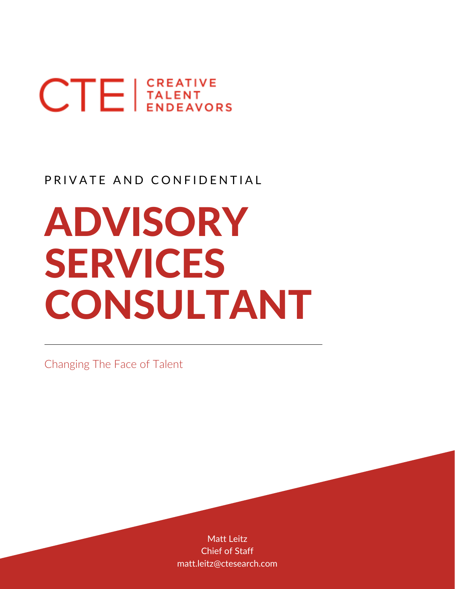# $CTE$   $|$ <sup>CREATIVE</sup>

### PRIVATE AND CONFIDENTIAL

## ADVISORY SERVICES CONSULTANT

Changing The Face of Talent

Matt Leitz Chief of Staff matt.leitz@ctesearch.com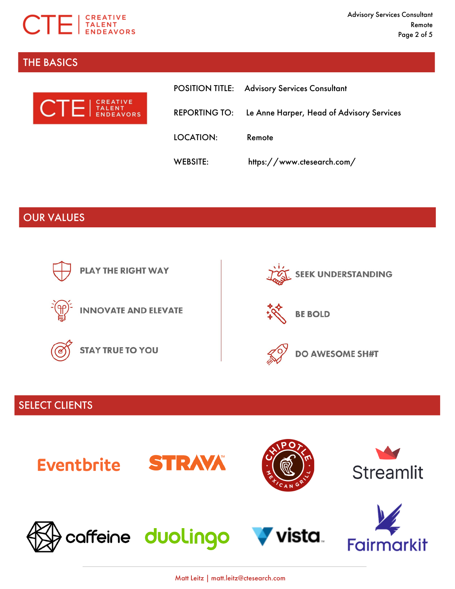

#### THE BASICS



|                 | <b>POSITION TITLE: Advisory Services Consultant</b>            |
|-----------------|----------------------------------------------------------------|
|                 | <b>REPORTING TO:</b> Le Anne Harper, Head of Advisory Services |
| LOCATION:       | Remote                                                         |
| <b>WEBSITE:</b> | https://www.ctesearch.com/                                     |

#### OUR VALUES



#### SELECT CLIENTS



Matt Leitz | matt.leitz@ctesearch.com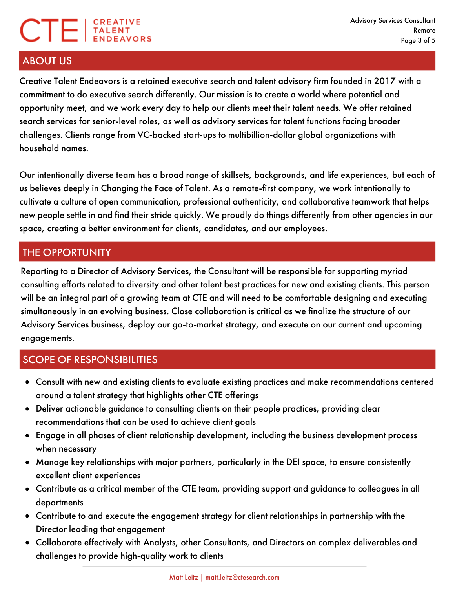## $CTE$   $|_{ENEAYO}^{CREATIVE}$

#### ABOUT US

Creative Talent Endeavors is a retained executive search and talent advisory firm founded in 2017 with a commitment to do executive search differently. Our mission is to create a world where potential and opportunity meet, and we work every day to help our clients meet their talent needs. We offer retained search services for senior-level roles, as well as advisory services for talent functions facing broader challenges. Clients range from VC-backed start-ups to multibillion-dollar global organizations with household names.

Our intentionally diverse team has a broad range of skillsets, backgrounds, and life experiences, but each of us believes deeply in Changing the Face of Talent. As a remote-first company, we work intentionally to cultivate a culture of open communication, professional authenticity, and collaborative teamwork that helps new people settle in and find their stride quickly. We proudly do things differently from other agencies in our space, creating a better environment for clients, candidates, and our employees.

#### THE OPPORTUNITY

Reporting to a Director of Advisory Services, the Consultant will be responsible for supporting myriad consulting efforts related to diversity and other talent best practices for new and existing clients. This person will be an integral part of a growing team at CTE and will need to be comfortable designing and executing simultaneously in an evolving business. Close collaboration is critical as we finalize the structure of our Advisory Services business, deploy our go-to-market strategy, and execute on our current and upcoming engagements.

#### SCOPE OF RESPONSIBILITIES

- Consult with new and existing clients to evaluate existing practices and make recommendations centered around a talent strategy that highlights other CTE offerings
- Deliver actionable guidance to consulting clients on their people practices, providing clear recommendations that can be used to achieve client goals
- Engage in all phases of client relationship development, including the business development process when necessary
- Manage key relationships with major partners, particularly in the DEI space, to ensure consistently excellent client experiences
- Contribute as a critical member of the CTE team, providing support and guidance to colleagues in all departments
- Contribute to and execute the engagement strategy for client relationships in partnership with the Director leading that engagement
- Collaborate effectively with Analysts, other Consultants, and Directors on complex deliverables and challenges to provide high-quality work to clients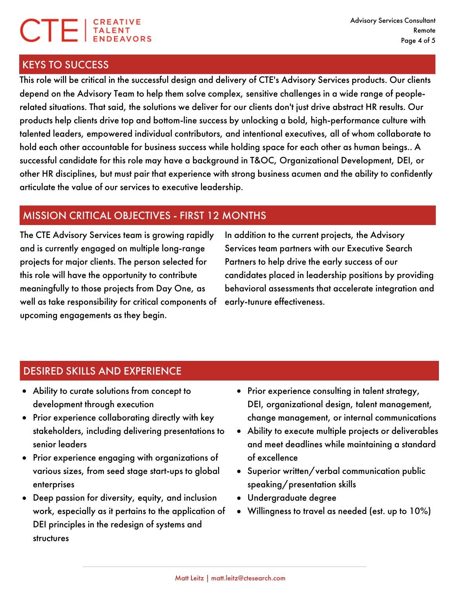### **CTE** ENDEAVO

#### KEYS TO SUCCESS

This role will be critical in the successful design and delivery of CTE's Advisory Services products. Our clients depend on the Advisory Team to help them solve complex, sensitive challenges in a wide range of peoplerelated situations. That said, the solutions we deliver for our clients don't just drive abstract HR results. Our products help clients drive top and bottom-line success by unlocking a bold, high-performance culture with talented leaders, empowered individual contributors, and intentional executives, all of whom collaborate to hold each other accountable for business success while holding space for each other as human beings.. A successful candidate for this role may have a background in T&OC, Organizational Development, DEI, or other HR disciplines, but must pair that experience with strong business acumen and the ability to confidently articulate the value of our services to executive leadership.

#### MISSION CRITICAL OBJECTIVES - FIRST 12 MONTHS

The CTE Advisory Services team is growing rapidly and is currently engaged on multiple long-range projects for major clients. The person selected for this role will have the opportunity to contribute meaningfully to those projects from Day One, as well as take responsibility for critical components of upcoming engagements as they begin.

In addition to the current projects, the Advisory Services team partners with our Executive Search Partners to help drive the early success of our candidates placed in leadership positions by providing behavioral assessments that accelerate integration and early-tunure effectiveness.

#### DESIRED SKILLS AND EXPERIENCE

- Ability to curate solutions from concept to development through execution
- Prior experience collaborating directly with key stakeholders, including delivering presentations to senior leaders
- Prior experience engaging with organizations of various sizes, from seed stage start-ups to global enterprises
- Deep passion for diversity, equity, and inclusion work, especially as it pertains to the application of DEI principles in the redesign of systems and structures
- Prior experience consulting in talent strategy, DEI, organizational design, talent management, change management, or internal communications
- Ability to execute multiple projects or deliverables and meet deadlines while maintaining a standard of excellence
- Superior written/verbal communication public speaking/presentation skills
- Undergraduate degree
- Willingness to travel as needed (est. up to 10%)